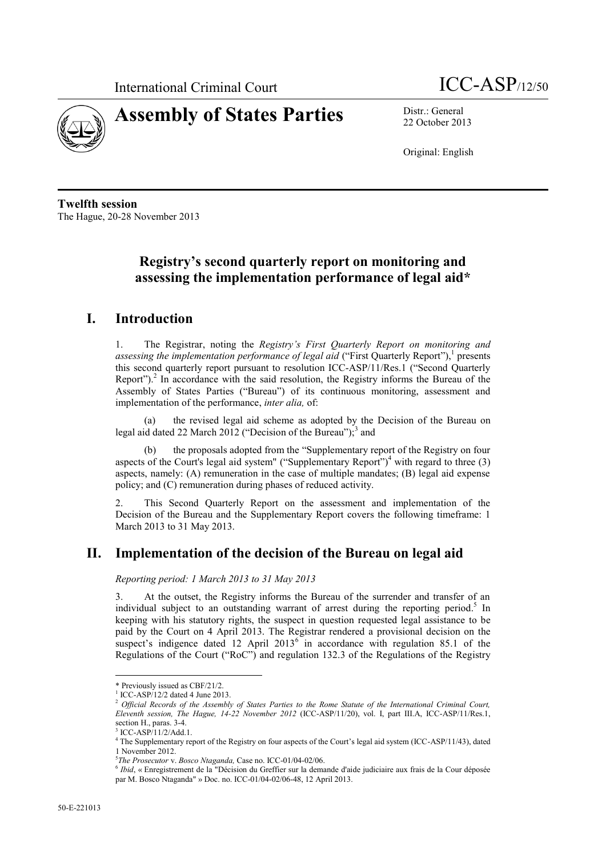



22 October 2013

Original: English

**Twelfth session** The Hague, 20-28 November 2013

# **Registry's second quarterly report on monitoring and assessing the implementation performance of legal aid\***

# **I. Introduction**

1. The Registrar, noting the *Registry's First Quarterly Report on monitoring and*  assessing the implementation performance of legal aid ("First Quarterly Report"),<sup>1</sup> presents this second quarterly report pursuant to resolution ICC-ASP/11/Res.1 ("Second Quarterly Report").<sup>2</sup> In accordance with the said resolution, the Registry informs the Bureau of the Assembly of States Parties ("Bureau") of its continuous monitoring, assessment and implementation of the performance, *inter alia,* of:

(a) the revised legal aid scheme as adopted by the Decision of the Bureau on legal aid dated 22 March 2012 ("Decision of the Bureau"); $3$  and

the proposals adopted from the "Supplementary report of the Registry on four aspects of the Court's legal aid system" ("Supplementary Report")<sup>4</sup> with regard to three (3) aspects, namely: (A) remuneration in the case of multiple mandates; (B) legal aid expense policy; and (C) remuneration during phases of reduced activity.

2. This Second Quarterly Report on the assessment and implementation of the Decision of the Bureau and the Supplementary Report covers the following timeframe: 1 March 2013 to 31 May 2013.

## **II. Implementation of the decision of the Bureau on legal aid**

*Reporting period: 1 March 2013 to 31 May 2013*

3. At the outset, the Registry informs the Bureau of the surrender and transfer of an individual subject to an outstanding warrant of arrest during the reporting period.<sup>5</sup> In keeping with his statutory rights, the suspect in question requested legal assistance to be paid by the Court on 4 April 2013. The Registrar rendered a provisional decision on the suspect's indigence dated 12 April  $2013^6$  in accordance with regulation 85.1 of the Regulations of the Court ("RoC") and regulation 132.3 of the Regulations of the Registry

 $\overline{a}$ 

<sup>\*</sup> Previously issued as CBF/21/2.

<sup>&</sup>lt;sup>1</sup> ICC-ASP/12/2 dated 4 June 2013.

<sup>2</sup> *Official Records of the Assembly of States Parties to the Rome Statute of the International Criminal Court, Eleventh session, The Hague, 14-22 November 2012* (ICC-ASP/11/20), vol. I, part III.A, ICC-ASP/11/Res.1, section H., paras. 3-4.

<sup>3</sup> ICC-ASP/11/2/Add.1.

<sup>&</sup>lt;sup>4</sup> The Supplementary report of the Registry on four aspects of the Court's legal aid system (ICC-ASP/11/43), dated 1 November 2012.

<sup>5</sup> *The Prosecutor* v. *Bosco Ntaganda,* Case no. ICC-01/04-02/06.

<sup>6</sup> *Ibid*, « Enregistrement de la "Décision du Greffier sur la demande d'aide judiciaire aux frais de la Cour déposée par M. Bosco Ntaganda" » Doc. no. ICC-01/04-02/06-48, 12 April 2013.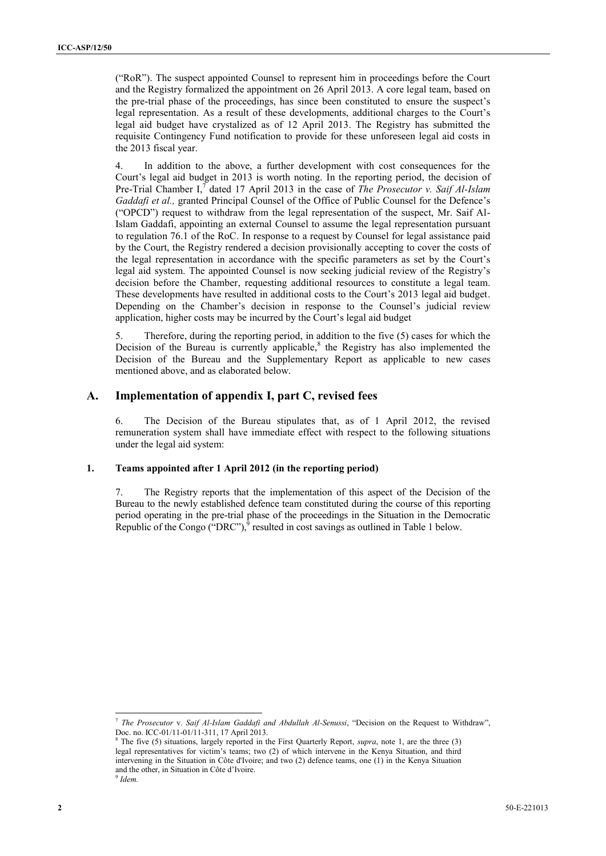("RoR"). The suspect appointed Counsel to represent him in proceedings before the Court and the Registry formalized the appointment on 26 April 2013. A core legal team, based on the pre-trial phase of the proceedings, has since been constituted to ensure the suspect's legal representation. As a result of these developments, additional charges to the Court's legal aid budget have crystalized as of 12 April 2013. The Registry has submitted the requisite Contingency Fund notification to provide for these unforeseen legal aid costs in the 2013 fiscal year.

4. In addition to the above, a further development with cost consequences for the Court's legal aid budget in 2013 is worth noting. In the reporting period, the decision of Pre-Trial Chamber I,<sup>7</sup> dated 17 April 2013 in the case of *The Prosecutor v. Saif Al-Islam Gaddafi et al.,* granted Principal Counsel of the Office of Public Counsel for the Defence's ("OPCD") request to withdraw from the legal representation of the suspect, Mr. Saif Al-Islam Gaddafi, appointing an external Counsel to assume the legal representation pursuant to regulation 76.1 of the RoC. In response to a request by Counsel for legal assistance paid by the Court, the Registry rendered a decision provisionally accepting to cover the costs of the legal representation in accordance with the specific parameters as set by the Court's legal aid system. The appointed Counsel is now seeking judicial review of the Registry's decision before the Chamber, requesting additional resources to constitute a legal team. These developments have resulted in additional costs to the Court's 2013 legal aid budget. Depending on the Chamber's decision in response to the Counsel's judicial review application, higher costs may be incurred by the Court's legal aid budget

5. Therefore, during the reporting period, in addition to the five (5) cases for which the Decision of the Bureau is currently applicable,<sup>8</sup> the Registry has also implemented the Decision of the Bureau and the Supplementary Report as applicable to new cases mentioned above, and as elaborated below.

### **A. Implementation of appendix I, part C, revised fees**

6. The Decision of the Bureau stipulates that, as of 1 April 2012, the revised remuneration system shall have immediate effect with respect to the following situations under the legal aid system:

#### **1. Teams appointed after 1 April 2012 (in the reporting period)**

7. The Registry reports that the implementation of this aspect of the Decision of the Bureau to the newly established defence team constituted during the course of this reporting period operating in the pre-trial phase of the proceedings in the Situation in the Democratic Republic of the Congo ("DRC"), $^{\circ}$  resulted in cost savings as outlined in Table 1 below.

 $\overline{a}$ 7 *The Prosecutor* v. *Saif Al-Islam Gaddafi and Abdullah Al-Senussi*, "Decision on the Request to Withdraw", Doc. no. ICC-01/11-01/11-311, 17 April 2013.

<sup>8</sup> The five (5) situations, largely reported in the First Quarterly Report, *supra*, note 1, are the three (3) legal representatives for victim's teams; two (2) of which intervene in the Kenya Situation, and third intervening in the Situation in Côte d'Ivoire; and two (2) defence teams, one (1) in the Kenya Situation and the other, in Situation in Côte d'Ivoire. 9 *Idem.*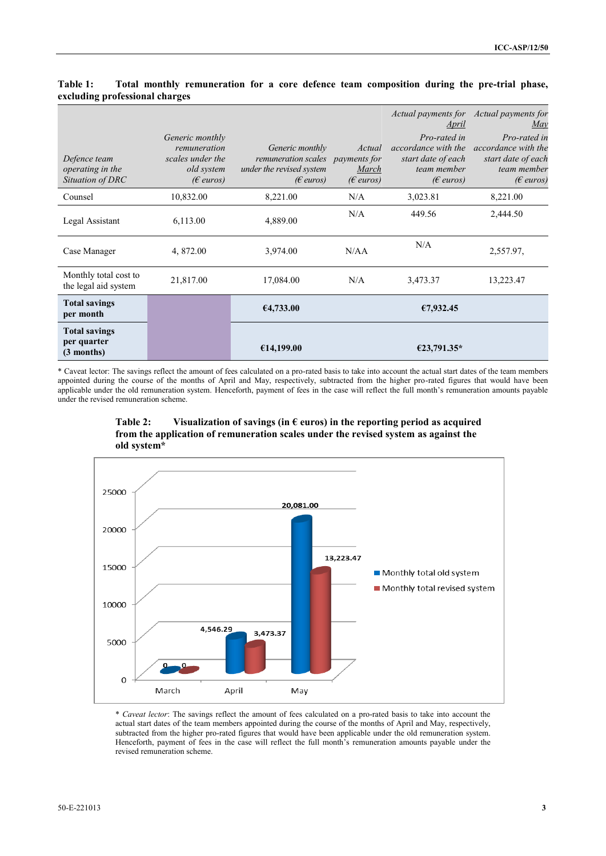| Defence team<br>operating in the<br>Situation of DRC | Generic monthly<br>remuneration<br>scales under the<br>old system<br>$(\epsilon$ euros) | Generic monthly<br>remuneration scales payments for<br>under the revised system<br>$(\epsilon$ euros) | Actual<br>March<br>$(E\>euros)$ | Actual payments for Actual payments for<br>April<br>Pro-rated in<br>accordance with the<br>start date of each<br>team member<br>$(E$ euros) | May<br>Pro-rated in<br>accordance with the<br>start date of each<br>team member<br>$(\epsilon$ euros) |
|------------------------------------------------------|-----------------------------------------------------------------------------------------|-------------------------------------------------------------------------------------------------------|---------------------------------|---------------------------------------------------------------------------------------------------------------------------------------------|-------------------------------------------------------------------------------------------------------|
| Counsel                                              | 10,832.00                                                                               | 8,221.00                                                                                              | N/A                             | 3,023.81                                                                                                                                    | 8,221.00                                                                                              |
| Legal Assistant                                      | 6,113.00                                                                                | 4,889.00                                                                                              | N/A                             | 449.56                                                                                                                                      | 2,444.50                                                                                              |
| Case Manager                                         | 4, 872.00                                                                               | 3,974.00                                                                                              | N/AA                            | N/A                                                                                                                                         | 2,557.97,                                                                                             |
| Monthly total cost to<br>the legal aid system        | 21,817.00                                                                               | 17,084.00                                                                                             | N/A                             | 3,473.37                                                                                                                                    | 13,223.47                                                                                             |
| <b>Total savings</b><br>per month                    |                                                                                         | 64,733.00                                                                                             |                                 | €7,932.45                                                                                                                                   |                                                                                                       |
| <b>Total savings</b><br>per quarter<br>$(3$ months)  |                                                                                         | €14,199.00                                                                                            |                                 | €23,791.35*                                                                                                                                 |                                                                                                       |

## **Table 1: Total monthly remuneration for a core defence team composition during the pre-trial phase, excluding professional charges**

\* Caveat lector: The savings reflect the amount of fees calculated on a pro-rated basis to take into account the actual start dates of the team members appointed during the course of the months of April and May, respectively, subtracted from the higher pro-rated figures that would have been applicable under the old remuneration system. Henceforth, payment of fees in the case will reflect the full month's remuneration amounts payable under the revised remuneration scheme.





\* *Caveat lector*: The savings reflect the amount of fees calculated on a pro-rated basis to take into account the actual start dates of the team members appointed during the course of the months of April and May, respectively, subtracted from the higher pro-rated figures that would have been applicable under the old remuneration system. Henceforth, payment of fees in the case will reflect the full month's remuneration amounts payable under the revised remuneration scheme.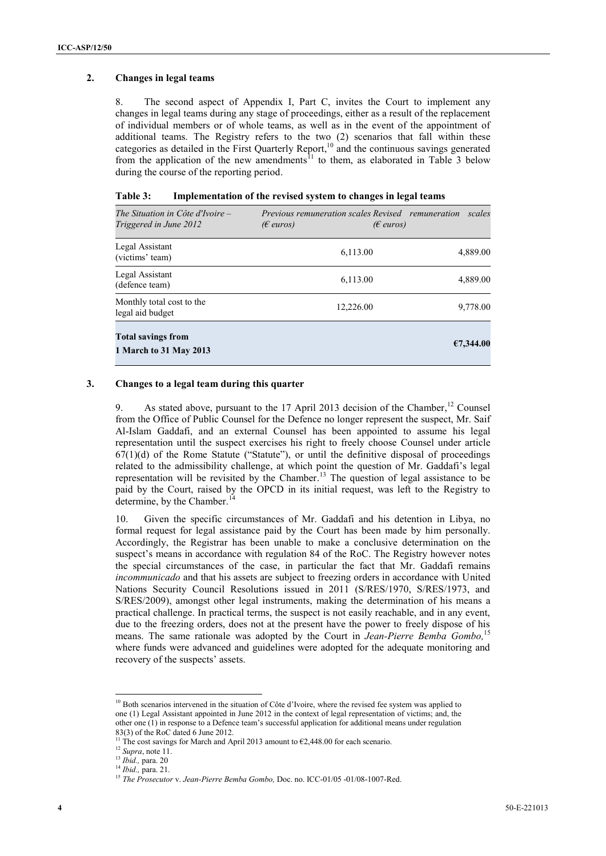#### **2. Changes in legal teams**

8. The second aspect of Appendix I, Part C, invites the Court to implement any changes in legal teams during any stage of proceedings, either as a result of the replacement of individual members or of whole teams, as well as in the event of the appointment of additional teams. The Registry refers to the two (2) scenarios that fall within these categories as detailed in the First Quarterly Report,<sup>10</sup> and the continuous savings generated from the application of the new amendments<sup>11</sup> to them, as elaborated in Table 3 below during the course of the reporting period.

| Table 3: |  |  | Implementation of the revised system to changes in legal teams |
|----------|--|--|----------------------------------------------------------------|
|----------|--|--|----------------------------------------------------------------|

| The Situation in Côte d'Ivoire –<br>Triggered in June 2012 | <i>Previous remuneration scales Revised remuneration</i><br>$(\epsilon$ euros)<br>$(\epsilon$ euros) | scales    |
|------------------------------------------------------------|------------------------------------------------------------------------------------------------------|-----------|
| Legal Assistant<br>(victims' team)                         | 6,113.00                                                                                             | 4,889.00  |
| Legal Assistant<br>(defence team)                          | 6,113.00                                                                                             | 4,889.00  |
| Monthly total cost to the<br>legal aid budget              | 12,226.00                                                                                            | 9,778.00  |
| <b>Total savings from</b><br>1 March to 31 May 2013        |                                                                                                      | €7,344.00 |

#### **3. Changes to a legal team during this quarter**

9. As stated above, pursuant to the 17 April 2013 decision of the Chamber,<sup>12</sup> Counsel from the Office of Public Counsel for the Defence no longer represent the suspect, Mr. Saif Al-Islam Gaddafi, and an external Counsel has been appointed to assume his legal representation until the suspect exercises his right to freely choose Counsel under article  $67(1)(d)$  of the Rome Statute ("Statute"), or until the definitive disposal of proceedings related to the admissibility challenge, at which point the question of Mr. Gaddafi's legal representation will be revisited by the Chamber.<sup>13</sup> The question of legal assistance to be paid by the Court, raised by the OPCD in its initial request, was left to the Registry to determine, by the Chamber.<sup>1</sup>

10. Given the specific circumstances of Mr. Gaddafi and his detention in Libya, no formal request for legal assistance paid by the Court has been made by him personally. Accordingly, the Registrar has been unable to make a conclusive determination on the suspect's means in accordance with regulation 84 of the RoC. The Registry however notes the special circumstances of the case, in particular the fact that Mr. Gaddafi remains *incommunicado* and that his assets are subject to freezing orders in accordance with United Nations Security Council Resolutions issued in 2011 (S/RES/1970, S/RES/1973, and S/RES/2009), amongst other legal instruments, making the determination of his means a practical challenge. In practical terms, the suspect is not easily reachable, and in any event, due to the freezing orders, does not at the present have the power to freely dispose of his means. The same rationale was adopted by the Court in *Jean-Pierre Bemba Gombo,* 15 where funds were advanced and guidelines were adopted for the adequate monitoring and recovery of the suspects' assets.

 $\overline{a}$ 

<sup>&</sup>lt;sup>10</sup> Both scenarios intervened in the situation of Côte d'Ivoire, where the revised fee system was applied to one (1) Legal Assistant appointed in June 2012 in the context of legal representation of victims; and, the other one (1) in response to a Defence team's successful application for additional means under regulation  $83(3)$  of the RoC dated 6 June 2012.

The cost savings for March and April 2013 amount to  $\epsilon$ 2,448.00 for each scenario.

<sup>12</sup> *Supra*, note 11.

<sup>13</sup> *Ibid.,* para. 20

<sup>14</sup> *Ibid.,* para. 21.

<sup>15</sup> *The Prosecutor* v. *Jean-Pierre Bemba Gombo,* Doc. no. ICC-01/05 -01/08-1007-Red.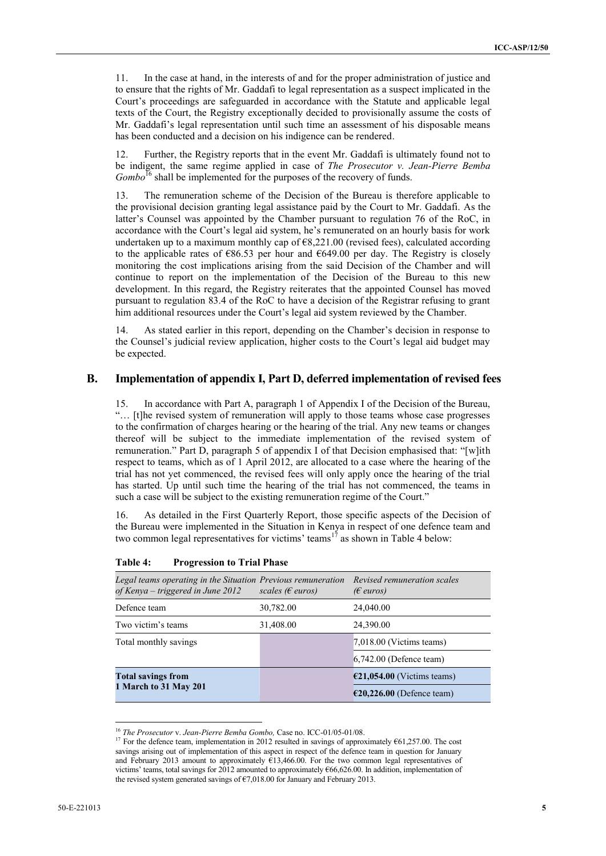11. In the case at hand, in the interests of and for the proper administration of justice and to ensure that the rights of Mr. Gaddafi to legal representation as a suspect implicated in the Court's proceedings are safeguarded in accordance with the Statute and applicable legal texts of the Court, the Registry exceptionally decided to provisionally assume the costs of Mr. Gaddafi's legal representation until such time an assessment of his disposable means has been conducted and a decision on his indigence can be rendered.

12. Further, the Registry reports that in the event Mr. Gaddafi is ultimately found not to be indigent, the same regime applied in case of *The Prosecutor v. Jean-Pierre Bemba Gombo*<sup>16</sup> shall be implemented for the purposes of the recovery of funds.

13. The remuneration scheme of the Decision of the Bureau is therefore applicable to the provisional decision granting legal assistance paid by the Court to Mr. Gaddafi. As the latter's Counsel was appointed by the Chamber pursuant to regulation 76 of the RoC, in accordance with the Court's legal aid system, he's remunerated on an hourly basis for work undertaken up to a maximum monthly cap of  $\epsilon$ 8,221.00 (revised fees), calculated according to the applicable rates of  $\epsilon$ 86.53 per hour and  $\epsilon$ 649.00 per day. The Registry is closely monitoring the cost implications arising from the said Decision of the Chamber and will continue to report on the implementation of the Decision of the Bureau to this new development. In this regard, the Registry reiterates that the appointed Counsel has moved pursuant to regulation 83.4 of the RoC to have a decision of the Registrar refusing to grant him additional resources under the Court's legal aid system reviewed by the Chamber.

14. As stated earlier in this report, depending on the Chamber's decision in response to the Counsel's judicial review application, higher costs to the Court's legal aid budget may be expected.

### **B. Implementation of appendix I, Part D, deferred implementation of revised fees**

In accordance with Part A, paragraph 1 of Appendix I of the Decision of the Bureau, "… [t]he revised system of remuneration will apply to those teams whose case progresses to the confirmation of charges hearing or the hearing of the trial. Any new teams or changes thereof will be subject to the immediate implementation of the revised system of remuneration." Part D, paragraph 5 of appendix I of that Decision emphasised that: "[w]ith respect to teams, which as of 1 April 2012, are allocated to a case where the hearing of the trial has not yet commenced, the revised fees will only apply once the hearing of the trial has started. Up until such time the hearing of the trial has not commenced, the teams in such a case will be subject to the existing remuneration regime of the Court."

16. As detailed in the First Quarterly Report, those specific aspects of the Decision of the Bureau were implemented in the Situation in Kenya in respect of one defence team and two common legal representatives for victims' teams<sup>17</sup> as shown in Table 4 below:

| Legal teams operating in the Situation Previous remuneration<br>of Kenya – triggered in June 2012 | scales ( $\epsilon$ euros) | Revised remuneration scales<br>$(\epsilon$ euros) |
|---------------------------------------------------------------------------------------------------|----------------------------|---------------------------------------------------|
| Defence team                                                                                      | 30,782.00                  | 24,040.00                                         |
| Two victim's teams                                                                                | 31,408.00                  | 24,390.00                                         |
| Total monthly savings                                                                             |                            | 7,018.00 (Victims teams)                          |
|                                                                                                   |                            | $6,742.00$ (Defence team)                         |
| <b>Total savings from</b>                                                                         |                            | $\epsilon$ 21,054.00 (Victims teams)              |
| 1 March to 31 May 201                                                                             |                            | $E20,226.00$ (Defence team)                       |

#### **Table 4: Progression to Trial Phase**

 $\overline{\phantom{a}}$ 

<sup>16</sup> *The Prosecutor* v. *Jean-Pierre Bemba Gombo,* Case no. ICC-01/05-01/08.

<sup>&</sup>lt;sup>17</sup> For the defence team, implementation in 2012 resulted in savings of approximately  $\epsilon$ 61,257.00. The cost savings arising out of implementation of this aspect in respect of the defence team in question for January and February 2013 amount to approximately  $£13,466.00$ . For the two common legal representatives of victims' teams, total savings for 2012 amounted to approximately €66,626.00. In addition, implementation of the revised system generated savings of €7,018.00 for January and February 2013.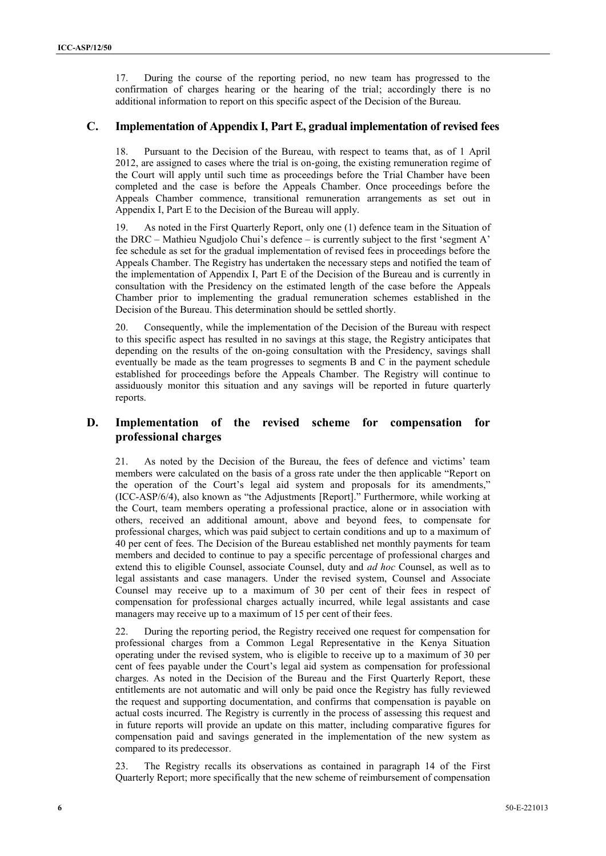17. During the course of the reporting period, no new team has progressed to the confirmation of charges hearing or the hearing of the trial; accordingly there is no additional information to report on this specific aspect of the Decision of the Bureau.

## **C. Implementation of Appendix I, Part E, gradual implementation of revised fees**

Pursuant to the Decision of the Bureau, with respect to teams that, as of 1 April 2012, are assigned to cases where the trial is on-going, the existing remuneration regime of the Court will apply until such time as proceedings before the Trial Chamber have been completed and the case is before the Appeals Chamber. Once proceedings before the Appeals Chamber commence, transitional remuneration arrangements as set out in Appendix I, Part E to the Decision of the Bureau will apply.

As noted in the First Quarterly Report, only one (1) defence team in the Situation of the DRC – Mathieu Ngudjolo Chui's defence – is currently subject to the first 'segment A' fee schedule as set for the gradual implementation of revised fees in proceedings before the Appeals Chamber. The Registry has undertaken the necessary steps and notified the team of the implementation of Appendix I, Part E of the Decision of the Bureau and is currently in consultation with the Presidency on the estimated length of the case before the Appeals Chamber prior to implementing the gradual remuneration schemes established in the Decision of the Bureau. This determination should be settled shortly.

20. Consequently, while the implementation of the Decision of the Bureau with respect to this specific aspect has resulted in no savings at this stage, the Registry anticipates that depending on the results of the on-going consultation with the Presidency, savings shall eventually be made as the team progresses to segments B and C in the payment schedule established for proceedings before the Appeals Chamber. The Registry will continue to assiduously monitor this situation and any savings will be reported in future quarterly reports.

## **D. Implementation of the revised scheme for compensation for professional charges**

21. As noted by the Decision of the Bureau, the fees of defence and victims' team members were calculated on the basis of a gross rate under the then applicable "Report on the operation of the Court's legal aid system and proposals for its amendments," (ICC-ASP/6/4), also known as "the Adjustments [Report]." Furthermore, while working at the Court, team members operating a professional practice, alone or in association with others, received an additional amount, above and beyond fees, to compensate for professional charges, which was paid subject to certain conditions and up to a maximum of 40 per cent of fees. The Decision of the Bureau established net monthly payments for team members and decided to continue to pay a specific percentage of professional charges and extend this to eligible Counsel, associate Counsel, duty and *ad hoc* Counsel, as well as to legal assistants and case managers. Under the revised system, Counsel and Associate Counsel may receive up to a maximum of 30 per cent of their fees in respect of compensation for professional charges actually incurred, while legal assistants and case managers may receive up to a maximum of 15 per cent of their fees.

22. During the reporting period, the Registry received one request for compensation for professional charges from a Common Legal Representative in the Kenya Situation operating under the revised system, who is eligible to receive up to a maximum of 30 per cent of fees payable under the Court's legal aid system as compensation for professional charges. As noted in the Decision of the Bureau and the First Quarterly Report, these entitlements are not automatic and will only be paid once the Registry has fully reviewed the request and supporting documentation, and confirms that compensation is payable on actual costs incurred. The Registry is currently in the process of assessing this request and in future reports will provide an update on this matter, including comparative figures for compensation paid and savings generated in the implementation of the new system as compared to its predecessor.

23. The Registry recalls its observations as contained in paragraph 14 of the First Quarterly Report; more specifically that the new scheme of reimbursement of compensation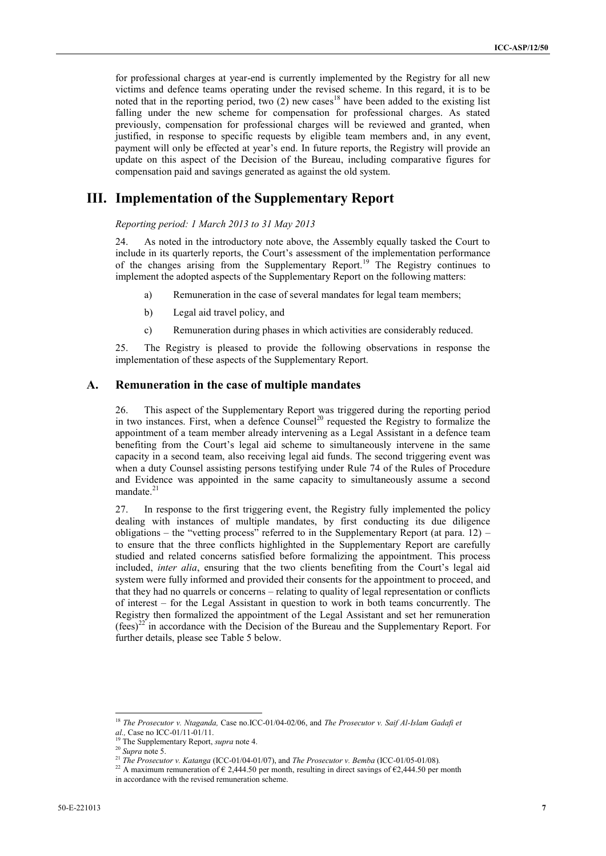for professional charges at year-end is currently implemented by the Registry for all new victims and defence teams operating under the revised scheme. In this regard, it is to be noted that in the reporting period, two  $(2)$  new cases<sup>18</sup> have been added to the existing list falling under the new scheme for compensation for professional charges. As stated previously, compensation for professional charges will be reviewed and granted, when justified, in response to specific requests by eligible team members and, in any event, payment will only be effected at year's end. In future reports, the Registry will provide an update on this aspect of the Decision of the Bureau, including comparative figures for compensation paid and savings generated as against the old system.

## **III. Implementation of the Supplementary Report**

*Reporting period: 1 March 2013 to 31 May 2013*

24. As noted in the introductory note above, the Assembly equally tasked the Court to include in its quarterly reports, the Court's assessment of the implementation performance of the changes arising from the Supplementary Report.<sup>19</sup> The Registry continues to implement the adopted aspects of the Supplementary Report on the following matters:

- a) Remuneration in the case of several mandates for legal team members;
- b) Legal aid travel policy, and
- c) Remuneration during phases in which activities are considerably reduced.

25. The Registry is pleased to provide the following observations in response the implementation of these aspects of the Supplementary Report.

### **A. Remuneration in the case of multiple mandates**

26. This aspect of the Supplementary Report was triggered during the reporting period in two instances. First, when a defence  $\text{Course}^{20}$  requested the Registry to formalize the appointment of a team member already intervening as a Legal Assistant in a defence team benefiting from the Court's legal aid scheme to simultaneously intervene in the same capacity in a second team, also receiving legal aid funds. The second triggering event was when a duty Counsel assisting persons testifying under Rule 74 of the Rules of Procedure and Evidence was appointed in the same capacity to simultaneously assume a second mandate.<sup>21</sup>

27. In response to the first triggering event, the Registry fully implemented the policy dealing with instances of multiple mandates, by first conducting its due diligence obligations – the "vetting process" referred to in the Supplementary Report (at para.  $12$ ) – to ensure that the three conflicts highlighted in the Supplementary Report are carefully studied and related concerns satisfied before formalizing the appointment. This process included, *inter alia*, ensuring that the two clients benefiting from the Court's legal aid system were fully informed and provided their consents for the appointment to proceed, and that they had no quarrels or concerns – relating to quality of legal representation or conflicts of interest – for the Legal Assistant in question to work in both teams concurrently. The Registry then formalized the appointment of the Legal Assistant and set her remuneration  $(\text{fees})^{22}$  in accordance with the Decision of the Bureau and the Supplementary Report. For further details, please see Table 5 below.

 $\overline{a}$ 

<sup>18</sup> *The Prosecutor v. Ntaganda,* Case no.ICC-01/04-02/06, and *The Prosecutor v. Saif Al-Islam Gadafi et al.,* Case no ICC-01/11-01/11.

<sup>19</sup> The Supplementary Report, *supra* note 4.

<sup>20</sup> *Supra* note 5.

<sup>21</sup> *The Prosecutor v. Katanga* (ICC-01/04-01/07), and *The Prosecutor v. Bemba* (ICC-01/05-01/08)*.* 

<sup>&</sup>lt;sup>22</sup> A maximum remuneration of  $\epsilon$  2,444.50 per month, resulting in direct savings of  $\epsilon$ 2,444.50 per month

in accordance with the revised remuneration scheme.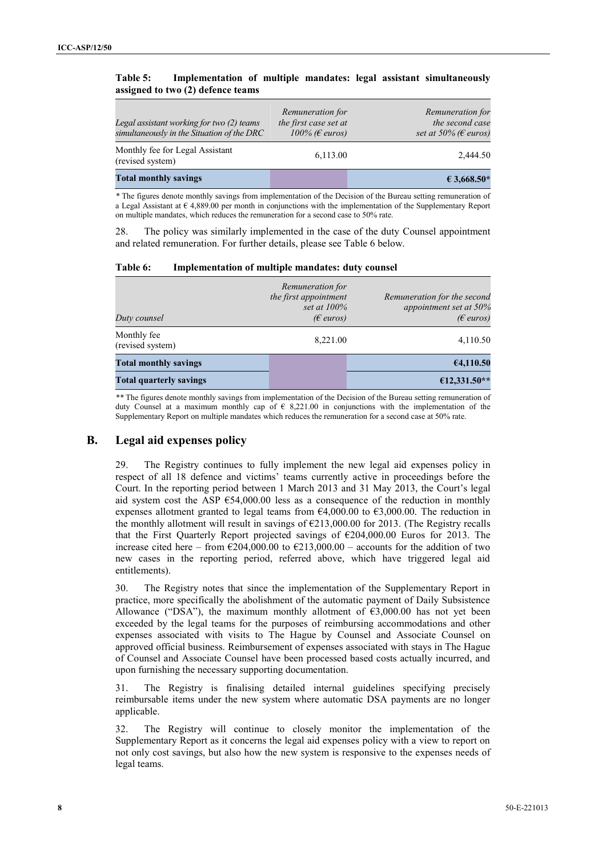### **Table 5: Implementation of multiple mandates: legal assistant simultaneously assigned to two (2) defence teams**

| Legal assistant working for two (2) teams<br>simultaneously in the Situation of the DRC | Remuneration for<br>the first case set at<br>100% ( $\epsilon$ euros) | Remuneration for<br>the second case<br>set at 50% ( $\epsilon$ euros) |
|-----------------------------------------------------------------------------------------|-----------------------------------------------------------------------|-----------------------------------------------------------------------|
| Monthly fee for Legal Assistant<br>(revised system)                                     | 6,113.00                                                              | 2.444.50                                                              |
| <b>Total monthly savings</b>                                                            |                                                                       | $€ 3.668.50*$                                                         |

*\** The figures denote monthly savings from implementation of the Decision of the Bureau setting remuneration of a Legal Assistant at € 4,889.00 per month in conjunctions with the implementation of the Supplementary Report on multiple mandates, which reduces the remuneration for a second case to 50% rate.

28. The policy was similarly implemented in the case of the duty Counsel appointment and related remuneration. For further details, please see Table 6 below.

| Table 6: | Implementation of multiple mandates: duty counsel |  |  |
|----------|---------------------------------------------------|--|--|
|          |                                                   |  |  |

| Duty counsel                    | Remuneration for<br>the first appointment<br>set at $100\%$<br>$(\epsilon$ euros) | Remuneration for the second<br>appointment set at $50\%$<br>$(\epsilon$ euros) |
|---------------------------------|-----------------------------------------------------------------------------------|--------------------------------------------------------------------------------|
| Monthly fee<br>(revised system) | 8,221.00                                                                          | 4,110.50                                                                       |
| <b>Total monthly savings</b>    |                                                                                   | 64,110.50                                                                      |
| <b>Total quarterly savings</b>  |                                                                                   | $€12,331.50**$                                                                 |

*\*\** The figures denote monthly savings from implementation of the Decision of the Bureau setting remuneration of duty Counsel at a maximum monthly cap of  $\epsilon$  8,221.00 in conjunctions with the implementation of the Supplementary Report on multiple mandates which reduces the remuneration for a second case at 50% rate.

## **B. Legal aid expenses policy**

29. The Registry continues to fully implement the new legal aid expenses policy in respect of all 18 defence and victims' teams currently active in proceedings before the Court. In the reporting period between 1 March 2013 and 31 May 2013, the Court's legal aid system cost the ASP €54,000.00 less as a consequence of the reduction in monthly expenses allotment granted to legal teams from  $64,000.00$  to  $63,000.00$ . The reduction in the monthly allotment will result in savings of  $\epsilon$ 213,000.00 for 2013. (The Registry recalls that the First Quarterly Report projected savings of €204,000.00 Euros for 2013. The increase cited here – from  $\epsilon$ 204,000.00 to  $\epsilon$ 213,000.00 – accounts for the addition of two new cases in the reporting period, referred above, which have triggered legal aid entitlements).

30. The Registry notes that since the implementation of the Supplementary Report in practice, more specifically the abolishment of the automatic payment of Daily Subsistence Allowance ("DSA"), the maximum monthly allotment of  $\epsilon$ 3,000.00 has not yet been exceeded by the legal teams for the purposes of reimbursing accommodations and other expenses associated with visits to The Hague by Counsel and Associate Counsel on approved official business. Reimbursement of expenses associated with stays in The Hague of Counsel and Associate Counsel have been processed based costs actually incurred, and upon furnishing the necessary supporting documentation.

31. The Registry is finalising detailed internal guidelines specifying precisely reimbursable items under the new system where automatic DSA payments are no longer applicable.

32. The Registry will continue to closely monitor the implementation of the Supplementary Report as it concerns the legal aid expenses policy with a view to report on not only cost savings, but also how the new system is responsive to the expenses needs of legal teams.